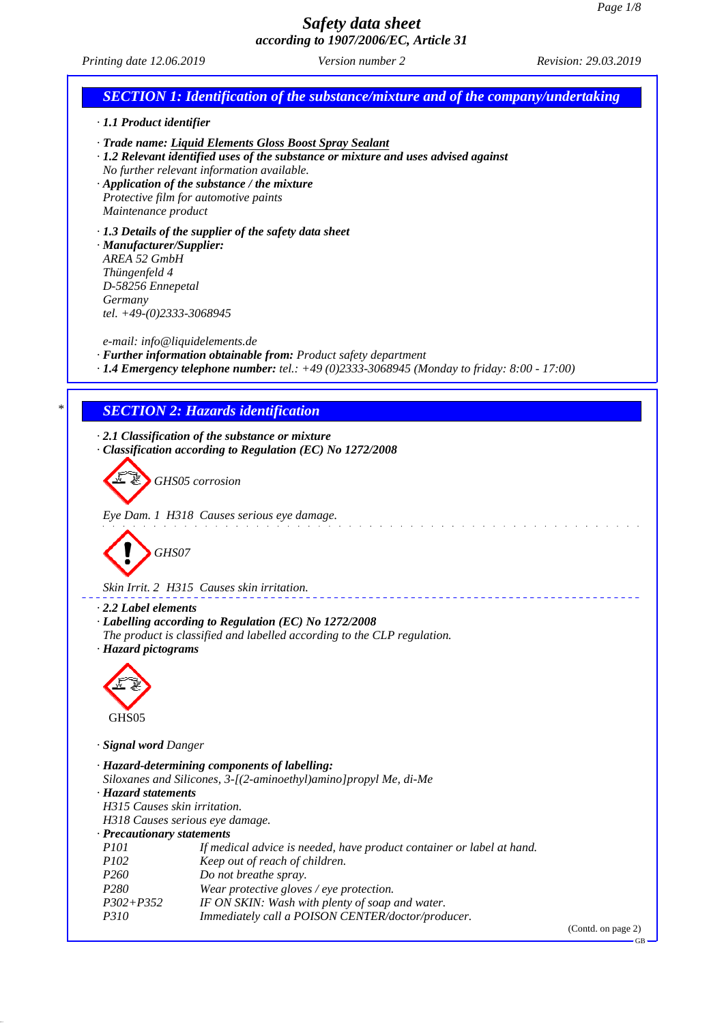GB

## *Safety data sheet according to 1907/2006/EC, Article 31*

```
Printing date 12.06.2019 Revision: 29.03.2019 Version number 2
 SECTION 1: Identification of the substance/mixture and of the company/undertaking
· 1.1 Product identifier
· Trade name: Liquid Elements Gloss Boost Spray Sealant
· 1.2 Relevant identified uses of the substance or mixture and uses advised against
 No further relevant information available.
· Application of the substance / the mixture
 Protective film for automotive paints
 Maintenance product
· 1.3 Details of the supplier of the safety data sheet
· Manufacturer/Supplier:
 AREA 52 GmbH
 Thüngenfeld 4
 D-58256 Ennepetal
 Germany
 tel. +49-(0)2333-3068945
 e-mail: info@liquidelements.de
· Further information obtainable from: Product safety department
· 1.4 Emergency telephone number: tel.: +49 (0)2333-3068945 (Monday to friday: 8:00 - 17:00)
 * SECTION 2: Hazards identification
· 2.1 Classification of the substance or mixture
· Classification according to Regulation (EC) No 1272/2008
          GHS05 corrosion
 Eye Dam. 1 H318 Causes serious eye damage.
           GHS07
 Skin Irrit. 2 H315 Causes skin irritation.
· 2.2 Label elements
· Labelling according to Regulation (EC) No 1272/2008
 The product is classified and labelled according to the CLP regulation.
· Hazard pictograms
  GHS05
· Signal word Danger
· Hazard-determining components of labelling:
 Siloxanes and Silicones, 3-[(2-aminoethyl)amino]propyl Me, di-Me
· Hazard statements
 H315 Causes skin irritation.
 H318 Causes serious eye damage.
· Precautionary statements
 P101 If medical advice is needed, have product container or label at hand.
 P102 Keep out of reach of children.
 P260 Do not breathe spray.
 P280 Wear protective gloves / eye protection.
 P302+P352 IF ON SKIN: Wash with plenty of soap and water.
 P310 Immediately call a POISON CENTER/doctor/producer.
                                                                                     (Contd. on page 2)
```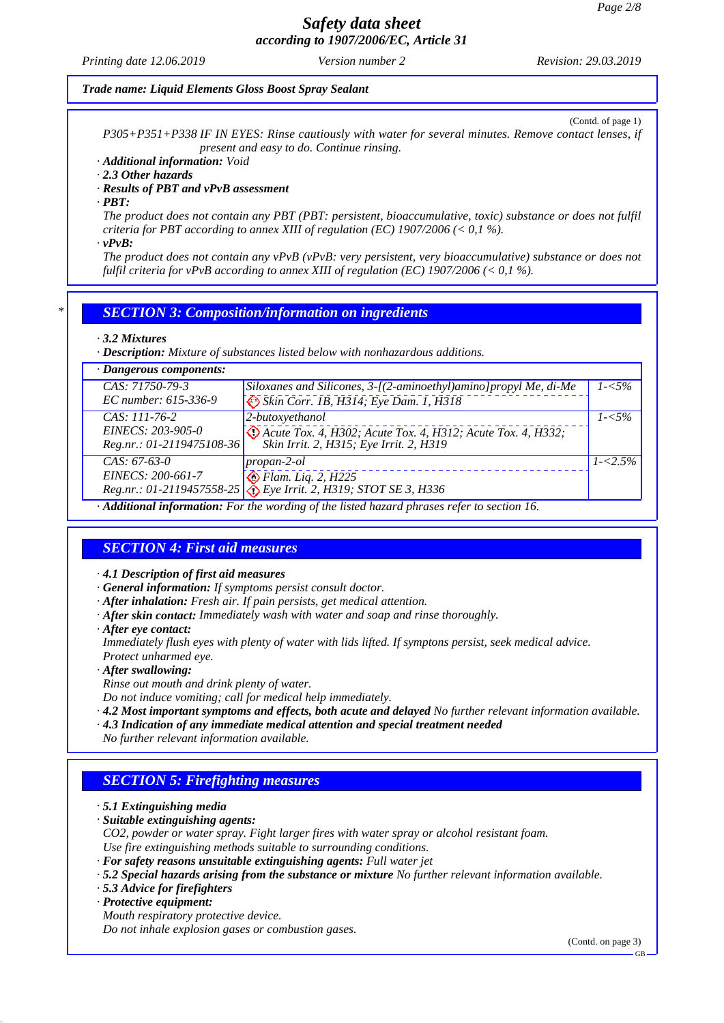*Printing date 12.06.2019 Revision: 29.03.2019 Version number 2*

#### *Trade name: Liquid Elements Gloss Boost Spray Sealant*

(Contd. of page 1)

*P305+P351+P338 IF IN EYES: Rinse cautiously with water for several minutes. Remove contact lenses, if present and easy to do. Continue rinsing.*

*· Additional information: Void*

*· 2.3 Other hazards*

*· Results of PBT and vPvB assessment*

*· PBT:*

*The product does not contain any PBT (PBT: persistent, bioaccumulative, toxic) substance or does not fulfil criteria for PBT according to annex XIII of regulation (EC) 1907/2006 (< 0,1 %).*

*· vPvB:*

*The product does not contain any vPvB (vPvB: very persistent, very bioaccumulative) substance or does not fulfil criteria for vPvB according to annex XIII of regulation (EC) 1907/2006 (< 0,1 %).*

### *\* SECTION 3: Composition/information on ingredients*

#### *· 3.2 Mixtures*

*· Description: Mixture of substances listed below with nonhazardous additions.*

| $\cdot$ Dangerous components: |                                                                                                  |             |
|-------------------------------|--------------------------------------------------------------------------------------------------|-------------|
| CAS: 71750-79-3               | Siloxanes and Silicones, 3-[(2-aminoethyl)amino]propyl Me, di-Me                                 | $1 - 5\%$   |
| EC number: 615-336-9          | Skin Corr. 1B, H314; Eye Dam. 1, H318                                                            |             |
| $CAS: 111-76-2$               | 2-butoxyethanol                                                                                  | $1 - 5\%$   |
| EINECS: 203-905-0             | De Acute Tox. 4, H302; Acute Tox. 4, H312; Acute Tox. 4, H332;                                   |             |
| Reg.nr.: 01-2119475108-36     | Skin Irrit. 2, H315; Eye Irrit. 2, H319                                                          |             |
| $CAS: 67-63-0$                | $propan-2-ol$                                                                                    | $1 - 2.5\%$ |
| EINECS: 200-661-7             | $\bigotimes$ Flam. Liq. 2, H225                                                                  |             |
|                               | Reg.nr.: 01-2119457558-25 & Eye Irrit. 2, H319; STOT SE 3, H336                                  |             |
|                               | $\cdot$ Additional information: For the wording of the listed hazard phrases refer to section 16 |             |

*· Additional information: For the wording of the listed hazard phrases refer to section 16.*

## *SECTION 4: First aid measures*

*· 4.1 Description of first aid measures*

- *· General information: If symptoms persist consult doctor.*
- *· After inhalation: Fresh air. If pain persists, get medical attention.*
- *· After skin contact: Immediately wash with water and soap and rinse thoroughly.*
- *· After eye contact:*

*Immediately flush eyes with plenty of water with lids lifted. If symptons persist, seek medical advice. Protect unharmed eye.*

*· After swallowing:*

*Rinse out mouth and drink plenty of water.*

*Do not induce vomiting; call for medical help immediately.*

- *· 4.2 Most important symptoms and effects, both acute and delayed No further relevant information available. · 4.3 Indication of any immediate medical attention and special treatment needed*
- *No further relevant information available.*

# *SECTION 5: Firefighting measures*

*· 5.1 Extinguishing media*

- *· Suitable extinguishing agents:*
- *CO2, powder or water spray. Fight larger fires with water spray or alcohol resistant foam. Use fire extinguishing methods suitable to surrounding conditions.*
- *· For safety reasons unsuitable extinguishing agents: Full water jet*
- *· 5.2 Special hazards arising from the substance or mixture No further relevant information available.*
- *· 5.3 Advice for firefighters*
- *· Protective equipment:*

*Mouth respiratory protective device.*

*Do not inhale explosion gases or combustion gases.*

(Contd. on page 3)

GB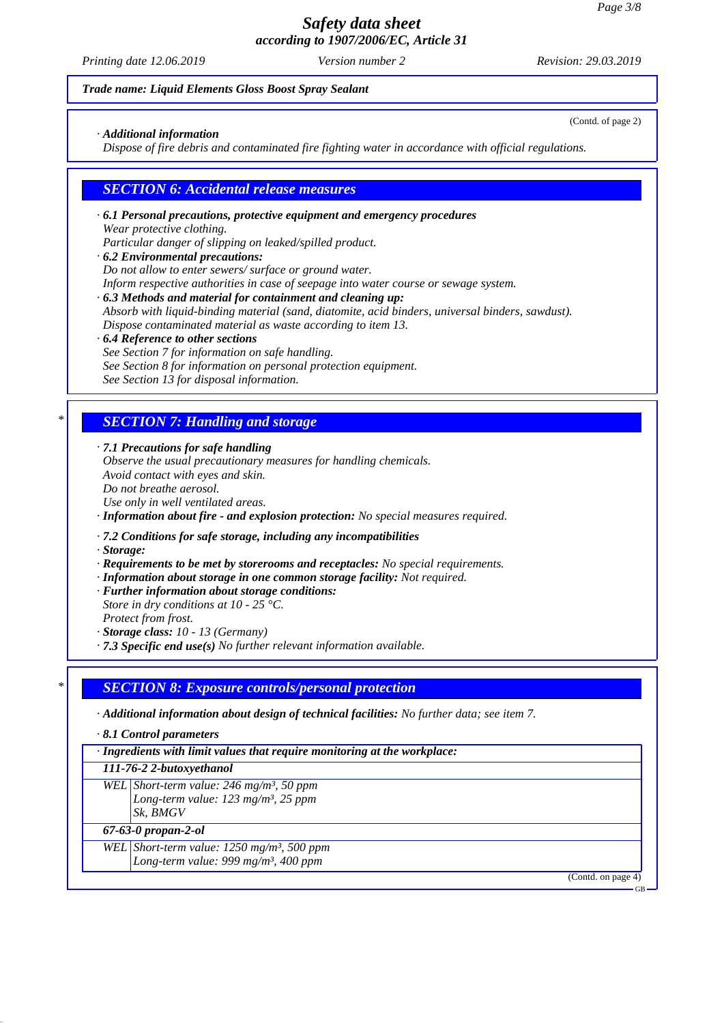*Printing date 12.06.2019 Revision: 29.03.2019 Version number 2*

(Contd. of page 2)

#### *Trade name: Liquid Elements Gloss Boost Spray Sealant*

*· Additional information*

*Dispose of fire debris and contaminated fire fighting water in accordance with official regulations.*

#### *SECTION 6: Accidental release measures*

- *· 6.1 Personal precautions, protective equipment and emergency procedures Wear protective clothing. Particular danger of slipping on leaked/spilled product.*
- *· 6.2 Environmental precautions: Do not allow to enter sewers/ surface or ground water. Inform respective authorities in case of seepage into water course or sewage system.*
- *· 6.3 Methods and material for containment and cleaning up: Absorb with liquid-binding material (sand, diatomite, acid binders, universal binders, sawdust). Dispose contaminated material as waste according to item 13.*
- *· 6.4 Reference to other sections See Section 7 for information on safe handling. See Section 8 for information on personal protection equipment.*
- *See Section 13 for disposal information.*

## *\* SECTION 7: Handling and storage*

*· 7.1 Precautions for safe handling*

*Observe the usual precautionary measures for handling chemicals. Avoid contact with eyes and skin. Do not breathe aerosol.*

*Use only in well ventilated areas.*

*· Information about fire - and explosion protection: No special measures required.*

*· 7.2 Conditions for safe storage, including any incompatibilities*

*· Storage:*

*· Requirements to be met by storerooms and receptacles: No special requirements.*

*· Information about storage in one common storage facility: Not required.*

*· Further information about storage conditions:*

*Store in dry conditions at 10 - 25 °C. Protect from frost.*

*· Storage class: 10 - 13 (Germany)*

*· 7.3 Specific end use(s) No further relevant information available.*

### *\* SECTION 8: Exposure controls/personal protection*

*· Additional information about design of technical facilities: No further data; see item 7.*

*· 8.1 Control parameters*

*· Ingredients with limit values that require monitoring at the workplace:*

#### *111-76-2 2-butoxyethanol*

*WEL Short-term value: 246 mg/m³, 50 ppm Long-term value: 123 mg/m³, 25 ppm Sk, BMGV*

*67-63-0 propan-2-ol*

*WEL Short-term value: 1250 mg/m³, 500 ppm*

*Long-term value: 999 mg/m³, 400 ppm*

(Contd. on page 4)

GB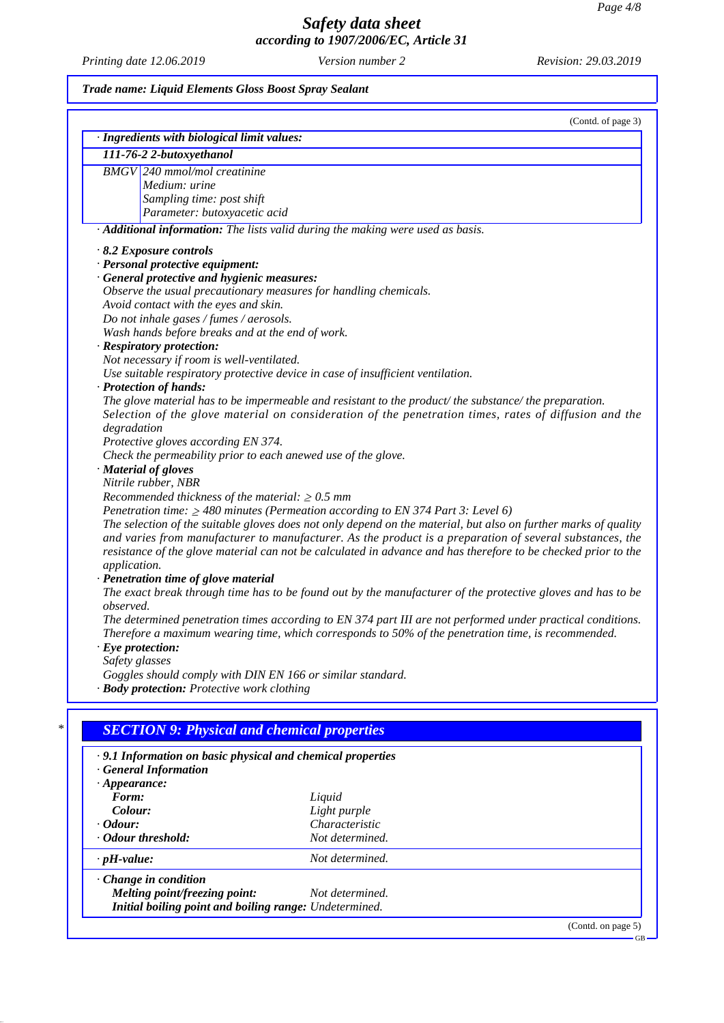*Printing date 12.06.2019 Revision: 29.03.2019 Version number 2*

### *Trade name: Liquid Elements Gloss Boost Spray Sealant*

| · Ingredients with biological limit values:                      | (Contd. of page 3)                                                                                              |
|------------------------------------------------------------------|-----------------------------------------------------------------------------------------------------------------|
|                                                                  |                                                                                                                 |
| 111-76-2 2-butoxyethanol                                         |                                                                                                                 |
| <b>BMGV</b> 240 mmol/mol creatinine                              |                                                                                                                 |
| Medium: urine                                                    |                                                                                                                 |
| Sampling time: post shift                                        |                                                                                                                 |
| Parameter: butoxyacetic acid                                     |                                                                                                                 |
|                                                                  | · Additional information: The lists valid during the making were used as basis.                                 |
| $\cdot$ 8.2 Exposure controls                                    |                                                                                                                 |
| · Personal protective equipment:                                 |                                                                                                                 |
| · General protective and hygienic measures:                      |                                                                                                                 |
| Observe the usual precautionary measures for handling chemicals. |                                                                                                                 |
| Avoid contact with the eyes and skin.                            |                                                                                                                 |
| Do not inhale gases / fumes / aerosols.                          |                                                                                                                 |
| Wash hands before breaks and at the end of work.                 |                                                                                                                 |
| · Respiratory protection:                                        |                                                                                                                 |
| Not necessary if room is well-ventilated.                        |                                                                                                                 |
|                                                                  | Use suitable respiratory protective device in case of insufficient ventilation.                                 |
| · Protection of hands:                                           |                                                                                                                 |
|                                                                  | The glove material has to be impermeable and resistant to the product/the substance/the preparation.            |
|                                                                  | Selection of the glove material on consideration of the penetration times, rates of diffusion and the           |
| degradation                                                      |                                                                                                                 |
| Protective gloves according EN 374.                              |                                                                                                                 |
| Check the permeability prior to each anewed use of the glove.    |                                                                                                                 |
| · Material of gloves                                             |                                                                                                                 |
| Nitrile rubber, NBR                                              |                                                                                                                 |
| Recommended thickness of the material: $\geq 0.5$ mm             |                                                                                                                 |
|                                                                  | Penetration time: $\geq$ 480 minutes (Permeation according to EN 374 Part 3: Level 6)                           |
|                                                                  | The selection of the suitable gloves does not only depend on the material, but also on further marks of quality |
|                                                                  | and varies from manufacturer to manufacturer. As the product is a preparation of several substances, the        |
|                                                                  | resistance of the glove material can not be calculated in advance and has therefore to be checked prior to the  |
| application.                                                     |                                                                                                                 |
| · Penetration time of glove material                             |                                                                                                                 |
| observed.                                                        | The exact break through time has to be found out by the manufacturer of the protective gloves and has to be     |
|                                                                  | The determined penetration times according to EN 374 part III are not performed under practical conditions.     |
|                                                                  | Therefore a maximum wearing time, which corresponds to 50% of the penetration time, is recommended.             |
| $\cdot$ Eye protection:                                          |                                                                                                                 |
| Safety glasses                                                   |                                                                                                                 |
| Goggles should comply with DIN EN 166 or similar standard.       |                                                                                                                 |
| · Body protection: Protective work clothing                      |                                                                                                                 |
|                                                                  |                                                                                                                 |
|                                                                  |                                                                                                                 |
| <b>SECTION 9: Physical and chemical properties</b>               |                                                                                                                 |
|                                                                  |                                                                                                                 |
| · 9.1 Information on basic physical and chemical properties      |                                                                                                                 |
| <b>General Information</b>                                       |                                                                                                                 |
| $\cdot$ Appearance:                                              |                                                                                                                 |
| Form:                                                            | Liquid                                                                                                          |
| Colour:                                                          | Light purple                                                                                                    |
| · Odour:                                                         | Characteristic                                                                                                  |
| · Odour threshold:                                               | Not determined.                                                                                                 |
| $\cdot$ pH-value:                                                | Not determined.                                                                                                 |
|                                                                  |                                                                                                                 |
| Change in condition                                              |                                                                                                                 |
| <b>Melting point/freezing point:</b>                             | Not determined.                                                                                                 |

*Initial boiling point and boiling range: Undetermined.*

(Contd. on page 5) GB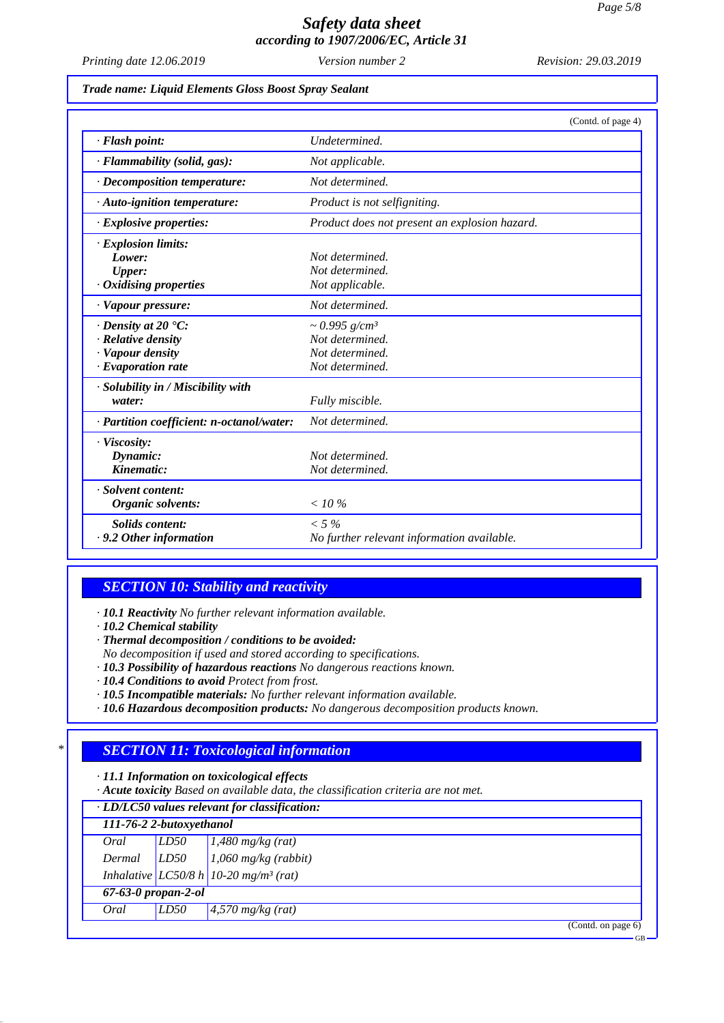GB

# *Safety data sheet according to 1907/2006/EC, Article 31*

*Printing date 12.06.2019 Revision: 29.03.2019 Version number 2*

#### *Trade name: Liquid Elements Gloss Boost Spray Sealant*

|                                           | (Contd. of page 4)                            |
|-------------------------------------------|-----------------------------------------------|
| · Flash point:                            | Undetermined.                                 |
| · Flammability (solid, gas):              | Not applicable.                               |
| · Decomposition temperature:              | Not determined.                               |
| · Auto-ignition temperature:              | Product is not selfigniting.                  |
| $\cdot$ Explosive properties:             | Product does not present an explosion hazard. |
| $\cdot$ Explosion limits:                 |                                               |
| Lower:                                    | Not determined.                               |
| <b>Upper:</b>                             | Not determined.                               |
| · Oxidising properties                    | Not applicable.                               |
| · Vapour pressure:                        | Not determined.                               |
| $\cdot$ Density at 20 $\textdegree$ C:    | $\sim 0.995$ g/cm <sup>3</sup>                |
| · Relative density                        | Not determined.                               |
| · Vapour density                          | Not determined.                               |
| $\cdot$ Evaporation rate                  | Not determined.                               |
| · Solubility in / Miscibility with        |                                               |
| water:                                    | Fully miscible.                               |
| · Partition coefficient: n-octanol/water: | Not determined.                               |
| · Viscosity:                              |                                               |
| Dynamic:                                  | Not determined.                               |
| Kinematic:                                | Not determined.                               |
| · Solvent content:                        |                                               |
| Organic solvents:                         | $<$ 10 %                                      |
| <b>Solids</b> content:                    | $< 5\%$                                       |
| .9.2 Other information                    | No further relevant information available.    |

### *SECTION 10: Stability and reactivity*

*· 10.1 Reactivity No further relevant information available.*

*· 10.2 Chemical stability*

*· Thermal decomposition / conditions to be avoided:*

- *No decomposition if used and stored according to specifications.*
- *· 10.3 Possibility of hazardous reactions No dangerous reactions known.*
- *· 10.4 Conditions to avoid Protect from frost.*
- *· 10.5 Incompatible materials: No further relevant information available.*
- *· 10.6 Hazardous decomposition products: No dangerous decomposition products known.*

## *\* SECTION 11: Toxicological information*

*· 11.1 Information on toxicological effects*

*· Acute toxicity Based on available data, the classification criteria are not met.*

| · LD/LC50 values relevant for classification: |      |                                                     |
|-----------------------------------------------|------|-----------------------------------------------------|
| 111-76-2 2-butoxyethanol                      |      |                                                     |
| Oral                                          | LD50 | $1,480$ mg/kg (rat)                                 |
| Dermal                                        | LD50 | $1,060$ mg/kg (rabbit)                              |
|                                               |      | Inhalative $LC50/8 h$ 10-20 mg/m <sup>3</sup> (rat) |
| $67 - 63 - 0$ propan-2-ol                     |      |                                                     |
| Oral                                          | LD50 | $4,570$ mg/kg (rat)                                 |
|                                               |      | (Contd. on page 6)                                  |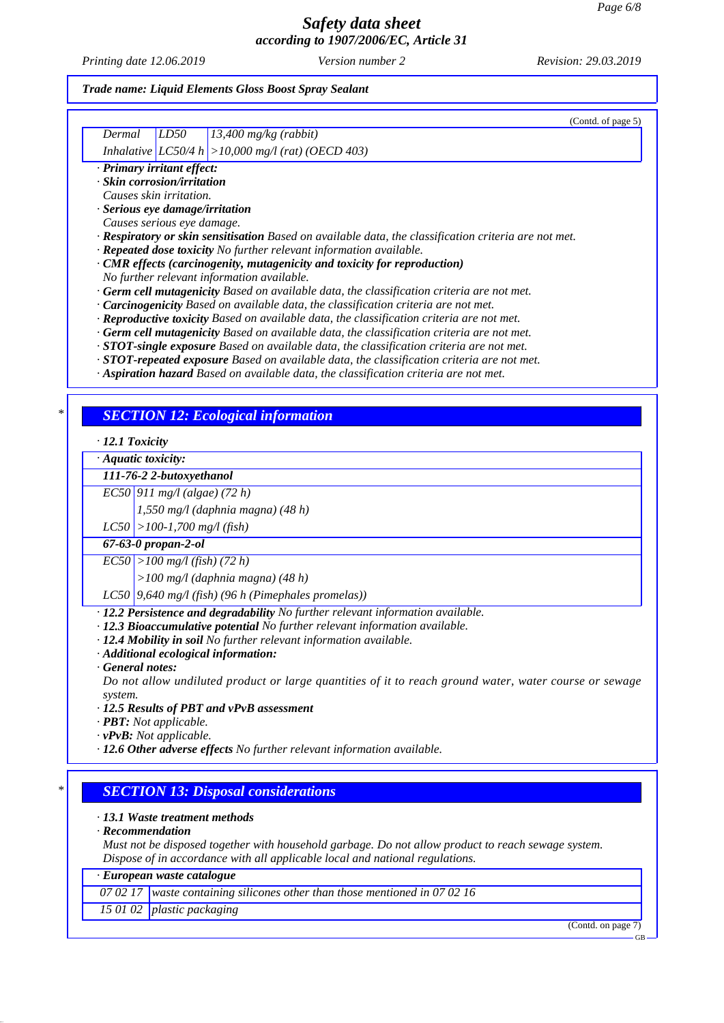*Printing date 12.06.2019 Revision: 29.03.2019 Version number 2*

### *Trade name: Liquid Elements Gloss Boost Spray Sealant*

|                       | (Contd. of page 5)                                                                                                                                                                      |
|-----------------------|-----------------------------------------------------------------------------------------------------------------------------------------------------------------------------------------|
| Dermal                | 13,400 mg/kg (rabbit)<br>LD50                                                                                                                                                           |
|                       | <i>Inhalative</i> $ LCS0/4 h  > 10,000 mg/l$ (rat) (OECD 403)                                                                                                                           |
|                       | · Primary irritant effect:<br>· Skin corrosion/irritation                                                                                                                               |
|                       | Causes skin irritation.                                                                                                                                                                 |
|                       | · Serious eye damage/irritation                                                                                                                                                         |
|                       | Causes serious eye damage.                                                                                                                                                              |
|                       | Respiratory or skin sensitisation Based on available data, the classification criteria are not met.                                                                                     |
|                       | · Repeated dose toxicity No further relevant information available.<br>$\cdot$ CMR effects (carcinogenity, mutagenicity and toxicity for reproduction)                                  |
|                       | No further relevant information available.                                                                                                                                              |
|                       | · Germ cell mutagenicity Based on available data, the classification criteria are not met.                                                                                              |
|                       | · Carcinogenicity Based on available data, the classification criteria are not met.                                                                                                     |
|                       | · Reproductive toxicity Based on available data, the classification criteria are not met.<br>· Germ cell mutagenicity Based on available data, the classification criteria are not met. |
|                       | $\cdot$ STOT-single exposure Based on available data, the classification criteria are not met.                                                                                          |
|                       | · STOT-repeated exposure Based on available data, the classification criteria are not met.                                                                                              |
|                       | · Aspiration hazard Based on available data, the classification criteria are not met.                                                                                                   |
|                       |                                                                                                                                                                                         |
|                       | <b>SECTION 12: Ecological information</b>                                                                                                                                               |
| $\cdot$ 12.1 Toxicity |                                                                                                                                                                                         |
|                       | $\cdot$ Aquatic toxicity:                                                                                                                                                               |
|                       | 111-76-2 2-butoxyethanol                                                                                                                                                                |
|                       | $EC50$ 911 mg/l (algae) (72 h)                                                                                                                                                          |
|                       | 1,550 mg/l (daphnia magna) (48 h)                                                                                                                                                       |
|                       | $LC50$ > 100-1,700 mg/l (fish)                                                                                                                                                          |
|                       | $67 - 63 - 0$ propan-2-ol                                                                                                                                                               |
|                       | $ ECSO  > 100$ mg/l (fish) (72 h)                                                                                                                                                       |
|                       | $>100$ mg/l (daphnia magna) (48 h)                                                                                                                                                      |
|                       | LC50 9,640 mg/l (fish) (96 h (Pimephales promelas))                                                                                                                                     |
|                       | $\cdot$ 12.2 Persistence and degradability No further relevant information available.                                                                                                   |
|                       | · 12.3 Bioaccumulative potential No further relevant information available.<br>· 12.4 Mobility in soil No further relevant information available.                                       |
|                       | $\cdot$ Additional ecological information:                                                                                                                                              |
|                       | · General notes:                                                                                                                                                                        |
|                       | Do not allow undiluted product or large quantities of it to reach ground water, water course or sewage                                                                                  |
| system.               | · 12.5 Results of PBT and vPvB assessment                                                                                                                                               |
|                       | · <b>PBT</b> : Not applicable.                                                                                                                                                          |
|                       | $\cdot v$ PvB: Not applicable.                                                                                                                                                          |
|                       | $\cdot$ 12.6 Other adverse effects No further relevant information available.                                                                                                           |
|                       |                                                                                                                                                                                         |
|                       | <b>SECTION 13: Disposal considerations</b>                                                                                                                                              |
|                       | $\cdot$ 13.1 Waste treatment methods                                                                                                                                                    |
|                       | $\cdot$ Recommendation                                                                                                                                                                  |
|                       | Must not be disposed together with household garbage. Do not allow product to reach sewage system.<br>Dispose of in accordance with all applicable local and national regulations.      |
|                       | · European waste catalogue                                                                                                                                                              |
|                       |                                                                                                                                                                                         |
|                       |                                                                                                                                                                                         |
|                       | 07 02 17   waste containing silicones other than those mentioned in 07 02 16                                                                                                            |
| 15 01 02              | <i>plastic packaging</i><br>(Contd. on page 7)                                                                                                                                          |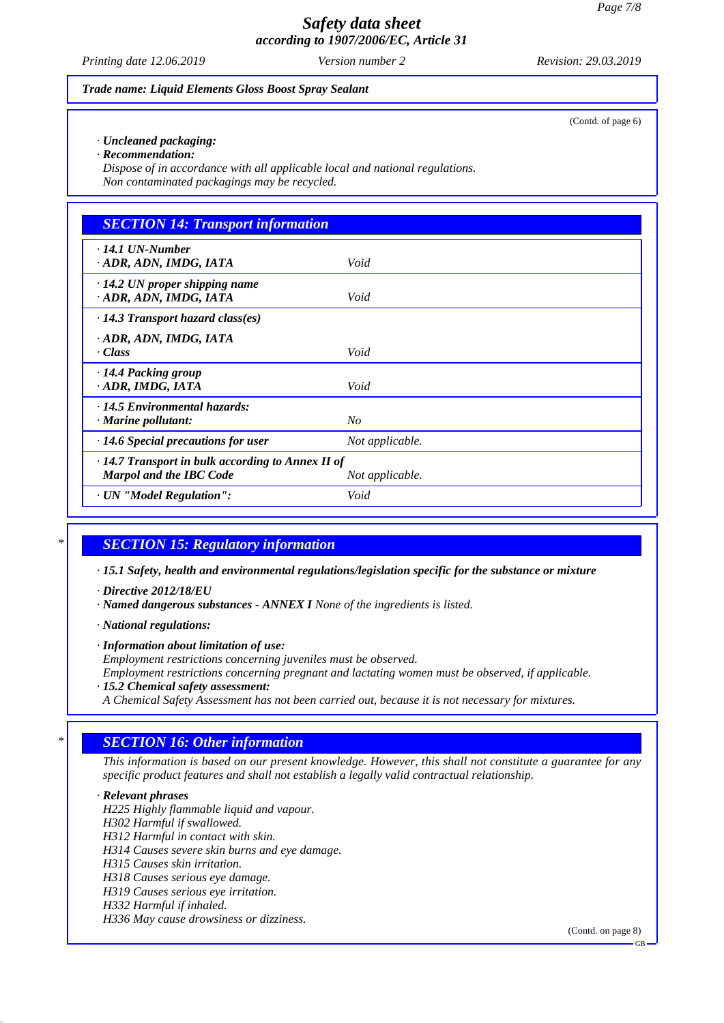*Printing date 12.06.2019 Revision: 29.03.2019 Version number 2*

#### *Trade name: Liquid Elements Gloss Boost Spray Sealant*

*· Uncleaned packaging:*

*· Recommendation:*

*Dispose of in accordance with all applicable local and national regulations. Non contaminated packagings may be recycled.*

| <b>SECTION 14: Transport information</b>                                                  |                 |  |
|-------------------------------------------------------------------------------------------|-----------------|--|
| $\cdot$ 14.1 UN-Number<br>· ADR, ADN, IMDG, IATA                                          | Void            |  |
| $\cdot$ 14.2 UN proper shipping name<br>· ADR, ADN, IMDG, IATA                            | Void            |  |
| $\cdot$ 14.3 Transport hazard class(es)                                                   |                 |  |
| ADR, ADN, IMDG, IATA<br>· Class                                                           | Void            |  |
| $\cdot$ 14.4 Packing group<br>ADR, IMDG, IATA                                             | Void            |  |
| $\cdot$ 14.5 Environmental hazards:<br>$\cdot$ Marine pollutant:                          | $N_{O}$         |  |
| $\cdot$ 14.6 Special precautions for user                                                 | Not applicable. |  |
| $\cdot$ 14.7 Transport in bulk according to Annex II of<br><b>Marpol and the IBC Code</b> | Not applicable. |  |
| · UN "Model Regulation":                                                                  | Void            |  |

#### *\* SECTION 15: Regulatory information*

*· 15.1 Safety, health and environmental regulations/legislation specific for the substance or mixture*

*· Directive 2012/18/EU*

*· Named dangerous substances - ANNEX I None of the ingredients is listed.*

*· National regulations:*

*· Information about limitation of use:*

*Employment restrictions concerning juveniles must be observed.*

*Employment restrictions concerning pregnant and lactating women must be observed, if applicable.*

- *· 15.2 Chemical safety assessment:*
- *A Chemical Safety Assessment has not been carried out, because it is not necessary for mixtures.*

## *\* SECTION 16: Other information*

*This information is based on our present knowledge. However, this shall not constitute a guarantee for any specific product features and shall not establish a legally valid contractual relationship.*

*· Relevant phrases H225 Highly flammable liquid and vapour. H302 Harmful if swallowed. H312 Harmful in contact with skin. H314 Causes severe skin burns and eye damage. H315 Causes skin irritation. H318 Causes serious eye damage. H319 Causes serious eye irritation. H332 Harmful if inhaled. H336 May cause drowsiness or dizziness.*

(Contd. on page 8)

(Contd. of page 6)

GB